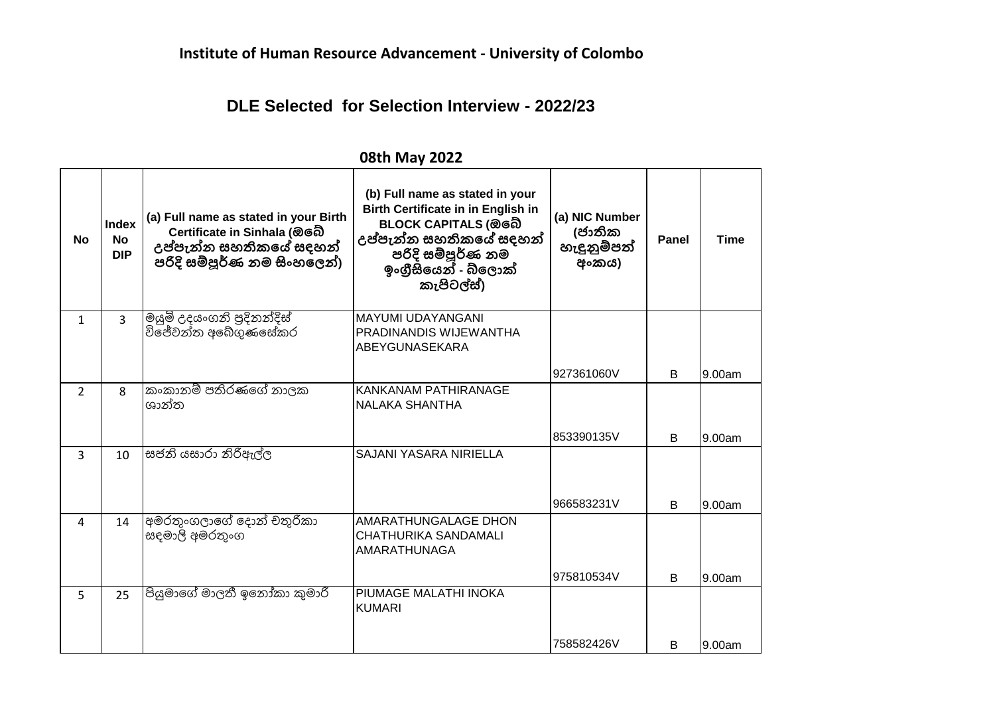## **DLE Selected for Selection Interview - 2022/23**

| No             | <b>Index</b><br><b>No</b><br><b>DIP</b> | (a) Full name as stated in your Birth<br>Certificate in Sinhala (ඔබේ<br>උප්පැන්න සහතිකයේ සදහන්<br>පරිදි සම්පූර්ණ නම සිංහලෙන්) | (b) Full name as stated in your<br><b>Birth Certificate in in English in</b><br>BLOCK CAPITALS (ඔබේ<br>උප්පැන්න සහතිකයේ සදහන්<br>.<br>පරිදි සම්පූර්ණු නම<br>ඉංගීසියෙන් - බ්ලොක්<br>කැපිටල්ස්) | (a) NIC Number<br>(ජාතික<br>හැඳුනුම්පත්<br>අංකය) | Panel | <b>Time</b> |
|----------------|-----------------------------------------|-------------------------------------------------------------------------------------------------------------------------------|-----------------------------------------------------------------------------------------------------------------------------------------------------------------------------------------------|--------------------------------------------------|-------|-------------|
| $\mathbf{1}$   | $\overline{3}$                          | මයුමි උදයංගනි පුදිනන්දිස්<br>විජේවන්ත අබේගුණසේකර                                                                              | <b>MAYUMI UDAYANGANI</b><br>PRADINANDIS WIJEWANTHA<br>ABEYGUNASEKARA                                                                                                                          |                                                  |       |             |
|                |                                         |                                                                                                                               |                                                                                                                                                                                               | 927361060V                                       | B     | 9.00am      |
| $\overline{2}$ | 8                                       | කංකානම් පතිරණගේ නාලක<br>ශාන්ත                                                                                                 | KANKANAM PATHIRANAGE<br><b>NALAKA SHANTHA</b>                                                                                                                                                 |                                                  |       |             |
|                |                                         |                                                                                                                               |                                                                                                                                                                                               | 853390135V                                       | B     | 9.00am      |
| 3              | 10                                      | සජනි යසාරා නිරිඅල්ල                                                                                                           | <b>SAJANI YASARA NIRIELLA</b>                                                                                                                                                                 | 966583231V                                       | B     | 9.00am      |
| 4              | 14                                      | අමරතුංගලාගේ දොන් චතුරිකා<br>සඳමාලි අමරතුංග                                                                                    | AMARATHUNGALAGE DHON<br>CHATHURIKA SANDAMALI<br>AMARATHUNAGA                                                                                                                                  |                                                  |       |             |
| 5              | 25                                      | පියුමාගේ මාලතී ඉනෝකා කුමාරි                                                                                                   | PIUMAGE MALATHI INOKA                                                                                                                                                                         | 975810534V                                       | B     | 9.00am      |
|                |                                         |                                                                                                                               | <b>KUMARI</b>                                                                                                                                                                                 |                                                  |       |             |
|                |                                         |                                                                                                                               |                                                                                                                                                                                               | 758582426V                                       | B     | 9.00am      |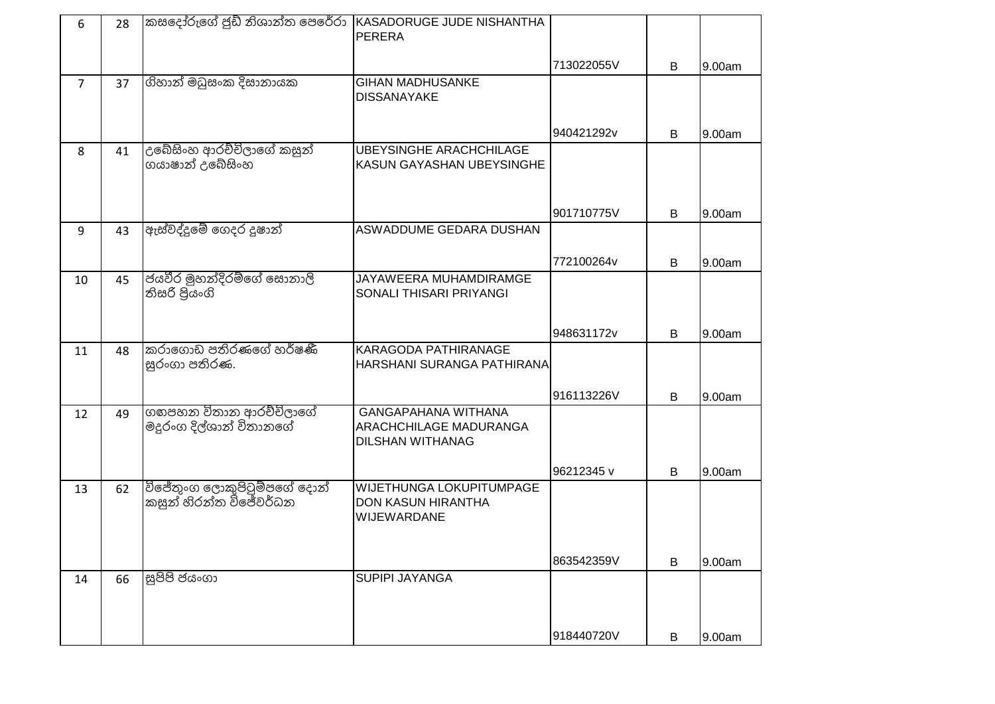| 6              | 28 | කසදෝරුගේ ජුඩ් නිශාන්ත පෙරේරා                           | KASADORUGE JUDE NISHANTHA<br><b>PERERA</b>                                      |            |   |        |
|----------------|----|--------------------------------------------------------|---------------------------------------------------------------------------------|------------|---|--------|
|                |    |                                                        |                                                                                 | 713022055V | B | 9.00am |
| $\overline{7}$ | 37 | ගිහාන් මධුසංක දිසානායක                                 | <b>GIHAN MADHUSANKE</b><br><b>DISSANAYAKE</b>                                   |            |   |        |
|                |    |                                                        |                                                                                 | 940421292v | B | 9.00am |
| 8              | 41 | උබේසිංහ ආරච්චිලාගේ කසුන්<br>ගයාෂාන් උබේසිංහ            | <b>UBEYSINGHE ARACHCHILAGE</b><br>KASUN GAYASHAN UBEYSINGHE                     |            |   |        |
|                |    |                                                        |                                                                                 | 901710775V | B | 9.00am |
| 9              | 43 | ඇස්වද්දුමේ ගෙදර දූෂාන්                                 | ASWADDUME GEDARA DUSHAN                                                         |            |   |        |
|                |    |                                                        |                                                                                 | 772100264v | B | 9.00am |
| 10             | 45 | ජයවීර මුහන්දිරම්ගේ සොනාලී<br>තිසරි පියංගි              | JAYAWEERA MUHAMDIRAMGE<br>SONALI THISARI PRIYANGI                               |            |   |        |
|                |    |                                                        |                                                                                 | 948631172v | B | 9.00am |
| 11             | 48 | කරාගොඩ පතිරණගේ හර්ෂණී<br>සුරංගා පතිරණ.                 | KARAGODA PATHIRANAGE<br>HARSHANI SURANGA PATHIRANA                              |            |   |        |
|                |    |                                                        |                                                                                 | 916113226V | B | 9.00am |
| 12             | 49 | ගගපහන විතාන ආරච්චිලාගේ<br>මදූරංග දිල්ශාන් විතානගේ      | <b>GANGAPAHANA WITHANA</b><br>ARACHCHILAGE MADURANGA<br><b>DILSHAN WITHANAG</b> |            |   |        |
|                |    |                                                        |                                                                                 | 96212345 v | B | 9.00am |
| 13             | 62 | විජේතුංග ලොකුපිටුම්පගේ දොන්<br> කසුන් හිරන්ත විජේවර්ධන | WIJETHUNGA LOKUPITUMPAGE<br>DON KASUN HIRANTHA<br>WIJEWARDANE                   |            |   |        |
|                |    |                                                        |                                                                                 | 863542359V | В | 9.00am |
| 14             | 66 | සුපිපි ජයංගා                                           | <b>SUPIPI JAYANGA</b>                                                           |            |   |        |
|                |    |                                                        |                                                                                 | 918440720V | B | 9.00am |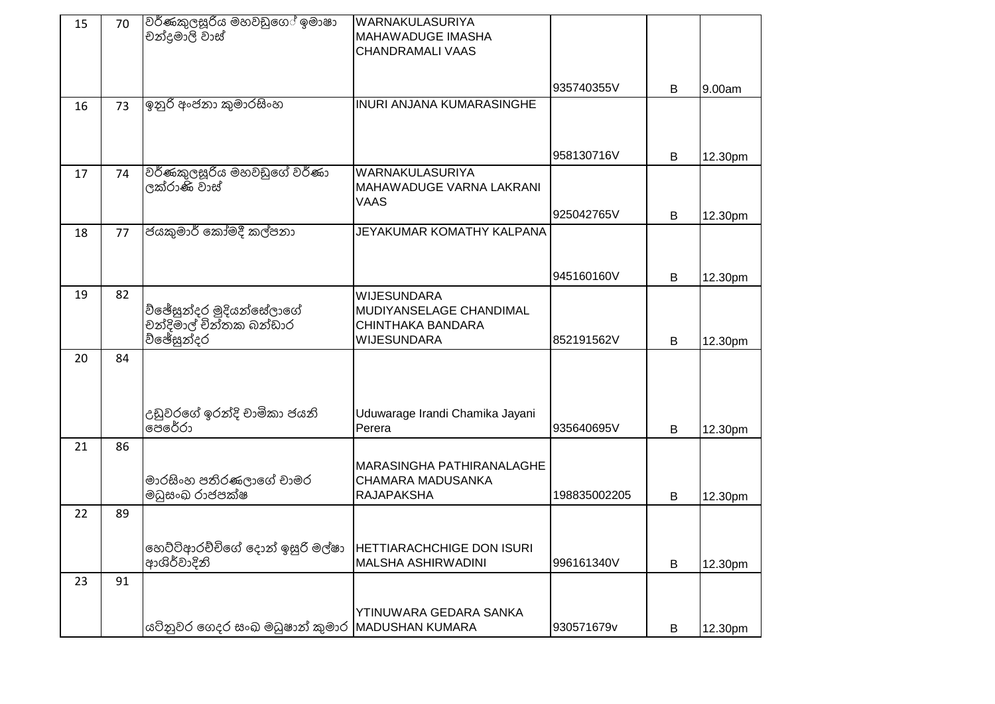| 15 | 70 | වර්ණකුලසූරිය මහවඩුගෙ <sup>ි</sup> ඉමාෂා<br>චන්දුමාලි වාස්         | WARNAKULASURIYA<br>MAHAWADUGE IMASHA<br><b>CHANDRAMALI VAAS</b>                          |              |   |         |
|----|----|-------------------------------------------------------------------|------------------------------------------------------------------------------------------|--------------|---|---------|
|    |    |                                                                   |                                                                                          | 935740355V   | В | 9.00am  |
| 16 | 73 | ඉනුරි අංජනා කුමාරසිංහ                                             | <b>INURI ANJANA KUMARASINGHE</b>                                                         |              |   |         |
|    |    |                                                                   |                                                                                          | 958130716V   | B | 12.30pm |
| 17 | 74 | වර්ණකුලසූරිය මහවඩුගේ වර්ණා<br>ලක්රාණි වාස්                        | WARNAKULASURIYA<br>MAHAWADUGE VARNA LAKRANI<br>VAAS                                      |              |   |         |
|    |    |                                                                   |                                                                                          | 925042765V   | B | 12.30pm |
| 18 | 77 | ජයකුමාර් කෝමදී කල්පනා                                             | JEYAKUMAR KOMATHY KALPANA                                                                |              |   |         |
|    |    |                                                                   |                                                                                          | 945160160V   | B | 12.30pm |
| 19 | 82 | ව්ඡේසුන්දර මුදියන්සේලාගේ<br>චන්දිමාල් චින්තක බන්ඩාර<br>ව්ඡේසුන්දර | <b>WIJESUNDARA</b><br>MUDIYANSELAGE CHANDIMAL<br>CHINTHAKA BANDARA<br><b>WIJESUNDARA</b> | 852191562V   |   |         |
| 20 | 84 |                                                                   |                                                                                          |              | В | 12.30pm |
|    |    | උඩුවරගේ ඉරන්දි චාමිකා ජයනි<br>පෙරේරා                              | Uduwarage Irandi Chamika Jayani<br>Perera                                                | 935640695V   | B | 12.30pm |
| 21 | 86 |                                                                   |                                                                                          |              |   |         |
|    |    | මාරසිංහ පතිරණලාගේ චාමර<br>මධුසංඛ රාජපක්ෂ                          | MARASINGHA PATHIRANALAGHE<br>CHAMARA MADUSANKA<br><b>RAJAPAKSHA</b>                      | 198835002205 | B | 12.30pm |
| 22 | 89 |                                                                   |                                                                                          |              |   |         |
|    |    | හෙට්ටිආරච්චිගේ දොන් ඉසුරි මල්ෂා<br>ආශිර්වාදිනි                    | <b>HETTIARACHCHIGE DON ISURI</b><br><b>MALSHA ASHIRWADINI</b>                            | 996161340V   | B | 12.30pm |
| 23 | 91 |                                                                   |                                                                                          |              |   |         |
|    |    | යටිනුවර ගෙදර සංඛ මධුෂාන් කුමාර  MADUSHAN KUMARA                   | YTINUWARA GEDARA SANKA                                                                   | 930571679v   | B | 12.30pm |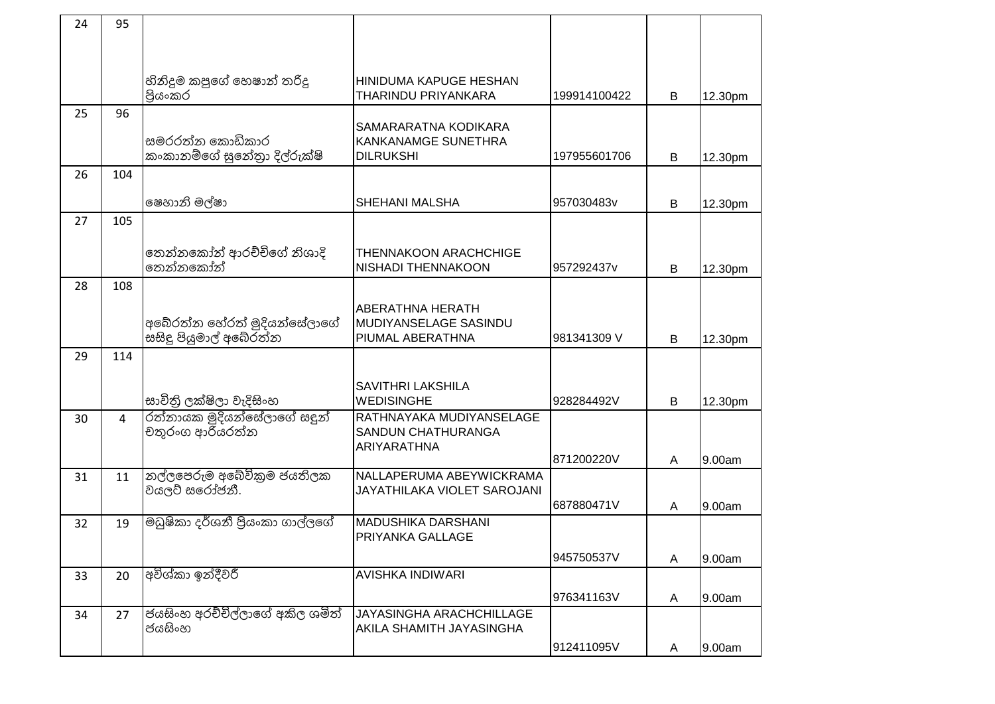| 24 | 95  |                                                        |                                                                      |              |                |         |
|----|-----|--------------------------------------------------------|----------------------------------------------------------------------|--------------|----------------|---------|
|    |     |                                                        |                                                                      |              |                |         |
|    |     | හිනිදුම කපුගේ හෙෂාන් තරිදු<br>පියංකර                   | HINIDUMA KAPUGE HESHAN<br>THARINDU PRIYANKARA                        | 199914100422 | B              | 12.30pm |
| 25 | 96  |                                                        | SAMARARATNA KODIKARA                                                 |              |                |         |
|    |     | සමරරත්න කොඩිකාර<br>කංකානම්ගේ සුනේතුා දිල්රුක්ෂි        | KANKANAMGE SUNETHRA<br><b>DILRUKSHI</b>                              | 197955601706 | B              | 12.30pm |
| 26 | 104 |                                                        |                                                                      |              |                |         |
|    |     | ෂෙහානි මල්ෂා                                           | SHEHANI MALSHA                                                       | 957030483v   | B              | 12.30pm |
| 27 | 105 |                                                        |                                                                      |              |                |         |
|    |     | තෙන්නකෝන් ආරච්චිගේ නිශාදි<br>තෙන්නකෝන්                 | <b>THENNAKOON ARACHCHIGE</b><br><b>NISHADI THENNAKOON</b>            | 957292437v   | B              | 12.30pm |
| 28 | 108 |                                                        |                                                                      |              |                |         |
|    |     | අබේරත්න හේරත් මුදියන්සේලාගේ<br>සසිදු පියුමාල් අබේරුත්න | <b>ABERATHNA HERATH</b><br>MUDIYANSELAGE SASINDU<br>PIUMAL ABERATHNA | 981341309 V  | B              | 12.30pm |
| 29 | 114 |                                                        |                                                                      |              |                |         |
|    |     | සාවිතිු ලක්ෂිලා වැදිසිංහ                               | <b>SAVITHRI LAKSHILA</b><br><b>WEDISINGHE</b>                        | 928284492V   | B              | 12.30pm |
| 30 | 4   | රත්නායක මුදියන්සේලාගේ සඳුන්<br>චතුරංග ආරියරත්න         | RATHNAYAKA MUDIYANSELAGE<br>SANDUN CHATHURANGA                       |              |                |         |
|    |     |                                                        | ARIYARATHNA                                                          | 871200220V   | $\overline{A}$ | 9.00am  |
| 31 | 11  | නල්ලපෙරුම අබේවිකුම ජයතිලක<br>වයලට් සරෝජනී.             | NALLAPERUMA ABEYWICKRAMA<br>JAYATHILAKA VIOLET SAROJANI              |              |                |         |
|    |     |                                                        |                                                                      | 687880471V   | A              | 9.00am  |
| 32 | 19  | මධුෂිකා දර්ශනී පියංකා ගාල්ලගේ                          | <b>MADUSHIKA DARSHANI</b><br>PRIYANKA GALLAGE                        |              |                |         |
|    |     |                                                        |                                                                      | 945750537V   | A              | 9.00am  |
| 33 | 20  | අවිශ්කා ඉන්දීවරී                                       | AVISHKA INDIWARI                                                     | 976341163V   | A              | 9.00am  |
| 34 | 27  | ජයසිංහ අරච්චිල්ලාගේ අකිල ශමිත්<br>ජයසිංහ               | <b>JAYASINGHA ARACHCHILLAGE</b><br>AKILA SHAMITH JAYASINGHA          |              |                |         |
|    |     |                                                        |                                                                      | 912411095V   | A              | 9.00am  |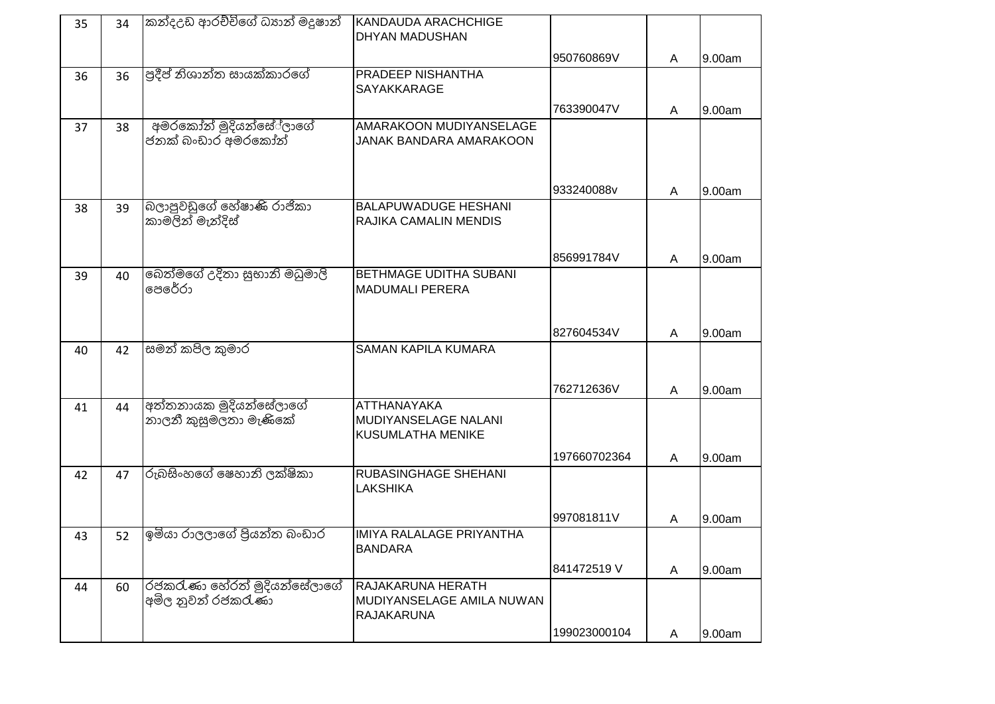| 35 | 34 | කන්දඋඩ ආරච්චිගේ ධූහන් මදූෂාන්                     | KANDAUDA ARACHCHIGE<br>DHYAN MADUSHAN                               |              |   |        |
|----|----|---------------------------------------------------|---------------------------------------------------------------------|--------------|---|--------|
|    |    |                                                   |                                                                     | 950760869V   | A | 9.00am |
| 36 | 36 | පුදීප් නිශාන්ත සායක්කාරගේ                         | PRADEEP NISHANTHA<br><b>SAYAKKARAGE</b>                             |              |   |        |
|    |    |                                                   |                                                                     | 763390047V   | A | 9.00am |
| 37 | 38 | අමරකෝන් මුදියන්සේ්ලාගේ<br>ජනක් බංඩාර අමරකෝන්      | AMARAKOON MUDIYANSELAGE<br>JANAK BANDARA AMARAKOON                  |              |   |        |
|    |    |                                                   |                                                                     | 933240088v   | A | 9.00am |
| 38 | 39 | බලාපුවඩුගේ හේෂාණි රාජිකා<br>කාමලින් මැන්දිස්      | <b>BALAPUWADUGE HESHANI</b><br>RAJIKA CAMALIN MENDIS                |              |   |        |
|    |    |                                                   |                                                                     | 856991784V   | A | 9.00am |
| 39 | 40 | බෙත්මගේ උදිතා සුභානි මධුමාලි<br>පෙරේරා            | BETHMAGE UDITHA SUBANI<br><b>MADUMALI PERERA</b>                    |              |   |        |
|    |    |                                                   |                                                                     | 827604534V   | A | 9.00am |
| 40 | 42 | සමන් කපිල කුමාර                                   | <b>SAMAN KAPILA KUMARA</b>                                          |              |   |        |
|    |    |                                                   |                                                                     | 762712636V   | A | 9.00am |
| 41 | 44 | අත්තනායක මුදියන්සේලාගේ<br>නාලනී කුසුමලතා මැණිකේ   | ATTHANAYAKA<br>MUDIYANSELAGE NALANI<br>KUSUMLATHA MENIKE            |              |   |        |
|    |    |                                                   |                                                                     | 197660702364 | A | 9.00am |
| 42 | 47 | රුබසිංහගේ ෂෙහානි ලක්ෂිකා                          | RUBASINGHAGE SHEHANI<br><b>LAKSHIKA</b>                             |              |   |        |
|    |    |                                                   |                                                                     | 997081811V   | A | 9.00am |
| 43 | 52 | ඉමියා රාලලාගේ පිුයන්ත බංඩාර                       | IMIYA RALALAGE PRIYANTHA<br>BANDARA                                 |              |   |        |
|    |    |                                                   |                                                                     | 841472519 V  | A | 9.00am |
| 44 | 60 | රජකරැණා හේරත් මුදියන්සේලාගේ<br>අමිල නුවන් රජකරැණා | RAJAKARUNA HERATH<br>MUDIYANSELAGE AMILA NUWAN<br><b>RAJAKARUNA</b> |              |   |        |
|    |    |                                                   |                                                                     | 199023000104 | A | 9.00am |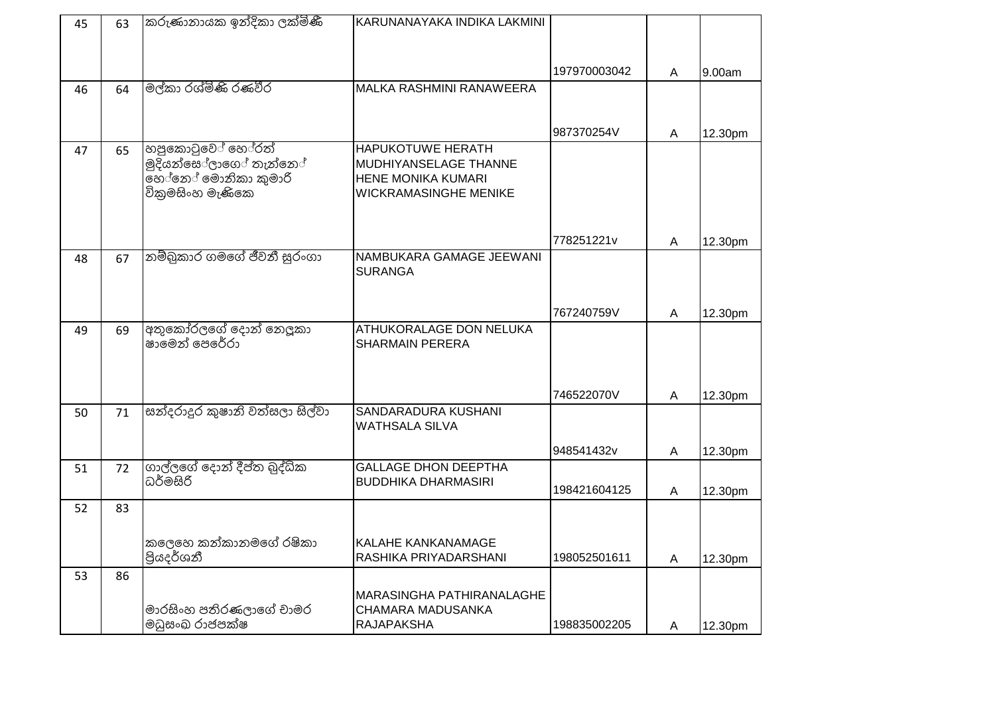| 45 | 63 | කරුණානායක ඉන්දිකා ලක්මිණී          | KARUNANAYAKA INDIKA LAKMINI     |              |                |         |
|----|----|------------------------------------|---------------------------------|--------------|----------------|---------|
|    |    |                                    |                                 |              |                |         |
|    |    |                                    |                                 |              |                |         |
|    |    |                                    |                                 | 197970003042 | $\overline{A}$ | 9.00am  |
| 46 | 64 | මල්කා රශ්මිණි රණවීර                | <b>MALKA RASHMINI RANAWEERA</b> |              |                |         |
|    |    |                                    |                                 |              |                |         |
|    |    |                                    |                                 | 987370254V   | A              | 12.30pm |
| 47 | 65 | හපුකොටුවේ හේරත්                    | <b>HAPUKOTUWE HERATH</b>        |              |                |         |
|    |    | මුදියන්සෙ <sup>්</sup> ලාගේ තැන්නේ | MUDHIYANSELAGE THANNE           |              |                |         |
|    |    | නේනේ මොනිකා කුමාරි                 | HENE MONIKA KUMARI              |              |                |         |
|    |    | විකුමසිංහ මැණිකෙ                   | WICKRAMASINGHE MENIKE           |              |                |         |
|    |    |                                    |                                 |              |                |         |
|    |    |                                    |                                 | 778251221v   | A              | 12.30pm |
| 48 | 67 | නම්බුකාර ගමගේ ජීවනී සුරංගා         | NAMBUKARA GAMAGE JEEWANI        |              |                |         |
|    |    |                                    | <b>SURANGA</b>                  |              |                |         |
|    |    |                                    |                                 |              |                |         |
|    |    |                                    |                                 | 767240759V   | $\overline{A}$ | 12.30pm |
| 49 | 69 | අතුකෝරලගේ දොන් නෙලූකා              | ATHUKORALAGE DON NELUKA         |              |                |         |
|    |    | ෂාමෙන් පෙරේරා                      | <b>SHARMAIN PERERA</b>          |              |                |         |
|    |    |                                    |                                 |              |                |         |
|    |    |                                    |                                 |              |                |         |
|    |    |                                    |                                 | 746522070V   | A              | 12.30pm |
| 50 | 71 | සන්දරාදුර කුෂානි වත්සලා සිල්වා     | SANDARADURA KUSHANI             |              |                |         |
|    |    |                                    | WATHSALA SILVA                  |              |                |         |
|    |    |                                    |                                 | 948541432v   | A              | 12.30pm |
| 51 | 72 | ගාල්ලගේ දොන් දීප්ත බුද්ධික         | <b>GALLAGE DHON DEEPTHA</b>     |              |                |         |
|    |    | ධර්මසිරි                           | <b>BUDDHIKA DHARMASIRI</b>      | 198421604125 | $\overline{A}$ | 12.30pm |
| 52 | 83 |                                    |                                 |              |                |         |
|    |    |                                    |                                 |              |                |         |
|    |    | කලෙහෙ කන්කානමගේ රෂිකා              | KALAHE KANKANAMAGE              |              |                |         |
|    |    | පියදර්ශනී                          | RASHIKA PRIYADARSHANI           | 198052501611 | A              | 12.30pm |
| 53 | 86 |                                    |                                 |              |                |         |
|    |    |                                    | MARASINGHA PATHIRANALAGHE       |              |                |         |
|    |    | මාරසිංහ පතිරණලාගේ චාමර             | CHAMARA MADUSANKA               |              |                |         |
|    |    | මධුසංඛ රාජපක්ෂ                     | <b>RAJAPAKSHA</b>               | 198835002205 | A              | 12.30pm |